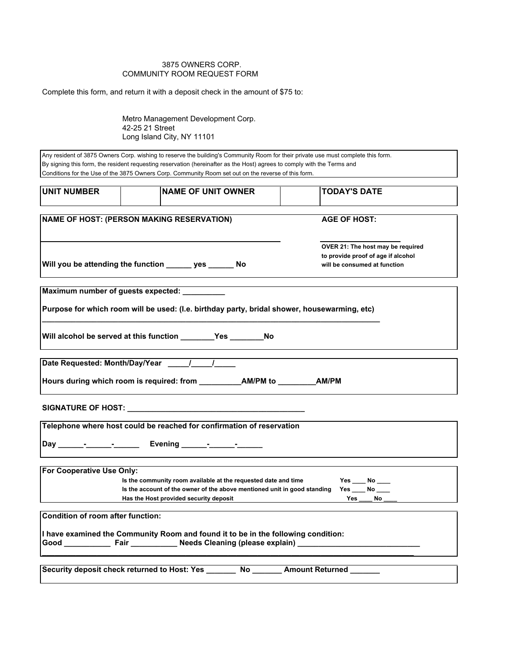## 3875 OWNERS CORP. COMMUNITY ROOM REQUEST FORM

Complete this form, and return it with a deposit check in the amount of \$75 to:

Metro Management Development Corp. 42-25 21 Street Long Island City, NY 11101

| <b>UNIT NUMBER</b>                                      | <b>INAME OF UNIT OWNER</b>                                                                                                                                 | <b>TODAY'S DATE</b>                                                                                     |
|---------------------------------------------------------|------------------------------------------------------------------------------------------------------------------------------------------------------------|---------------------------------------------------------------------------------------------------------|
|                                                         | <b>NAME OF HOST: (PERSON MAKING RESERVATION)</b>                                                                                                           | <b>AGE OF HOST:</b>                                                                                     |
| Will you be attending the function ______ yes ______ No |                                                                                                                                                            | OVER 21: The host may be required<br>to provide proof of age if alcohol<br>will be consumed at function |
|                                                         | Maximum number of guests expected: __________                                                                                                              |                                                                                                         |
|                                                         | Purpose for which room will be used: (I.e. birthday party, bridal shower, housewarming, etc)                                                               |                                                                                                         |
|                                                         | Will alcohol be served at this function __________Yes ___________No                                                                                        |                                                                                                         |
|                                                         |                                                                                                                                                            |                                                                                                         |
|                                                         |                                                                                                                                                            |                                                                                                         |
|                                                         |                                                                                                                                                            |                                                                                                         |
|                                                         | Telephone where host could be reached for confirmation of reservation                                                                                      |                                                                                                         |
|                                                         |                                                                                                                                                            |                                                                                                         |
| For Cooperative Use Only:                               |                                                                                                                                                            |                                                                                                         |
|                                                         | Is the community room available at the requested date and time<br>Is the account of the owner of the above mentioned unit in good standing Yes ____ No ___ | $Yes$ No _____                                                                                          |
|                                                         | Has the Host provided security deposit                                                                                                                     | Yes No                                                                                                  |
| Condition of room after function:                       |                                                                                                                                                            |                                                                                                         |
|                                                         |                                                                                                                                                            |                                                                                                         |